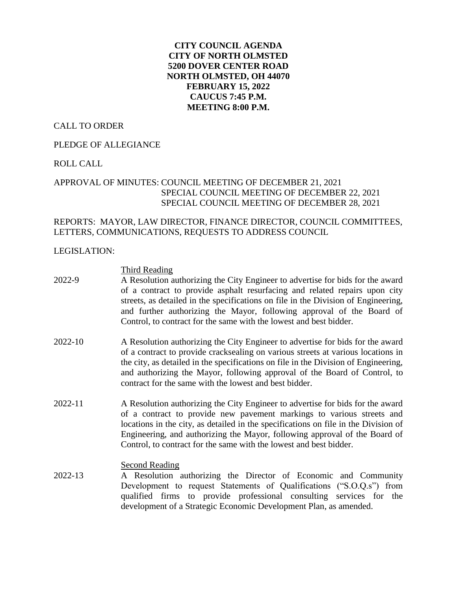# **CITY COUNCIL AGENDA CITY OF NORTH OLMSTED 5200 DOVER CENTER ROAD NORTH OLMSTED, OH 44070 FEBRUARY 15, 2022 CAUCUS 7:45 P.M. MEETING 8:00 P.M.**

## CALL TO ORDER

## PLEDGE OF ALLEGIANCE

## ROLL CALL

# APPROVAL OF MINUTES: COUNCIL MEETING OF DECEMBER 21, 2021 SPECIAL COUNCIL MEETING OF DECEMBER 22, 2021 SPECIAL COUNCIL MEETING OF DECEMBER 28, 2021

# REPORTS: MAYOR, LAW DIRECTOR, FINANCE DIRECTOR, COUNCIL COMMITTEES, LETTERS, COMMUNICATIONS, REQUESTS TO ADDRESS COUNCIL

#### LEGISLATION:

## Third Reading

- 2022-9 A Resolution authorizing the City Engineer to advertise for bids for the award of a contract to provide asphalt resurfacing and related repairs upon city streets, as detailed in the specifications on file in the Division of Engineering, and further authorizing the Mayor, following approval of the Board of Control, to contract for the same with the lowest and best bidder.
- 2022-10 A Resolution authorizing the City Engineer to advertise for bids for the award of a contract to provide cracksealing on various streets at various locations in the city, as detailed in the specifications on file in the Division of Engineering, and authorizing the Mayor, following approval of the Board of Control, to contract for the same with the lowest and best bidder.
- 2022-11 A Resolution authorizing the City Engineer to advertise for bids for the award of a contract to provide new pavement markings to various streets and locations in the city, as detailed in the specifications on file in the Division of Engineering, and authorizing the Mayor, following approval of the Board of Control, to contract for the same with the lowest and best bidder.

#### Second Reading

2022-13 A Resolution authorizing the Director of Economic and Community Development to request Statements of Qualifications ("S.O.Q.s") from qualified firms to provide professional consulting services for the development of a Strategic Economic Development Plan, as amended.